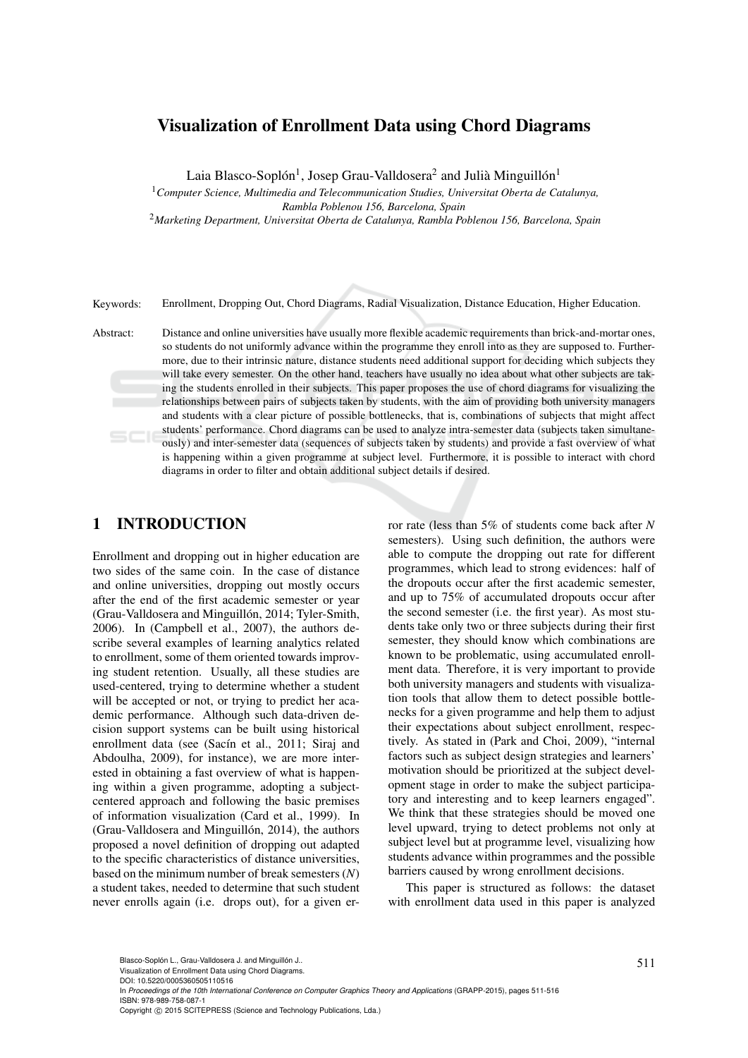# Visualization of Enrollment Data using Chord Diagrams

Laia Blasco-Soplón<sup>1</sup>, Josep Grau-Valldosera<sup>2</sup> and Julià Minguillón<sup>1</sup>

<sup>1</sup>*Computer Science, Multimedia and Telecommunication Studies, Universitat Oberta de Catalunya, Rambla Poblenou 156, Barcelona, Spain*

<sup>2</sup>*Marketing Department, Universitat Oberta de Catalunya, Rambla Poblenou 156, Barcelona, Spain*

Keywords: Enrollment, Dropping Out, Chord Diagrams, Radial Visualization, Distance Education, Higher Education.

Abstract: Distance and online universities have usually more flexible academic requirements than brick-and-mortar ones, so students do not uniformly advance within the programme they enroll into as they are supposed to. Furthermore, due to their intrinsic nature, distance students need additional support for deciding which subjects they will take every semester. On the other hand, teachers have usually no idea about what other subjects are taking the students enrolled in their subjects. This paper proposes the use of chord diagrams for visualizing the relationships between pairs of subjects taken by students, with the aim of providing both university managers and students with a clear picture of possible bottlenecks, that is, combinations of subjects that might affect students' performance. Chord diagrams can be used to analyze intra-semester data (subjects taken simultaneously) and inter-semester data (sequences of subjects taken by students) and provide a fast overview of what is happening within a given programme at subject level. Furthermore, it is possible to interact with chord diagrams in order to filter and obtain additional subject details if desired.

## 1 INTRODUCTION

Enrollment and dropping out in higher education are two sides of the same coin. In the case of distance and online universities, dropping out mostly occurs after the end of the first academic semester or year (Grau-Valldosera and Minguillón, 2014; Tyler-Smith, 2006). In (Campbell et al., 2007), the authors describe several examples of learning analytics related to enrollment, some of them oriented towards improving student retention. Usually, all these studies are used-centered, trying to determine whether a student will be accepted or not, or trying to predict her academic performance. Although such data-driven decision support systems can be built using historical enrollment data (see (Sacín et al., 2011; Siraj and Abdoulha, 2009), for instance), we are more interested in obtaining a fast overview of what is happening within a given programme, adopting a subjectcentered approach and following the basic premises of information visualization (Card et al., 1999). In (Grau-Valldosera and Minguillón, 2014), the authors proposed a novel definition of dropping out adapted to the specific characteristics of distance universities, based on the minimum number of break semesters (*N*) a student takes, needed to determine that such student never enrolls again (i.e. drops out), for a given er-

ror rate (less than 5% of students come back after *N* semesters). Using such definition, the authors were able to compute the dropping out rate for different programmes, which lead to strong evidences: half of the dropouts occur after the first academic semester, and up to 75% of accumulated dropouts occur after the second semester (i.e. the first year). As most students take only two or three subjects during their first semester, they should know which combinations are known to be problematic, using accumulated enrollment data. Therefore, it is very important to provide both university managers and students with visualization tools that allow them to detect possible bottlenecks for a given programme and help them to adjust their expectations about subject enrollment, respectively. As stated in (Park and Choi, 2009), "internal factors such as subject design strategies and learners' motivation should be prioritized at the subject development stage in order to make the subject participatory and interesting and to keep learners engaged". We think that these strategies should be moved one level upward, trying to detect problems not only at subject level but at programme level, visualizing how students advance within programmes and the possible barriers caused by wrong enrollment decisions.

This paper is structured as follows: the dataset with enrollment data used in this paper is analyzed

Blasco-Soplón L., Grau-Valldosera J. and Minguillón J..<br>Visualization of Enrollment Data using Chord Diagrams.

DOI: 10.5220/0005360505110516

In *Proceedings of the 10th International Conference on Computer Graphics Theory and Applications* (GRAPP-2015), pages 511-516 ISBN: 978-989-758-087-1

Copyright (C) 2015 SCITEPRESS (Science and Technology Publications, Lda.)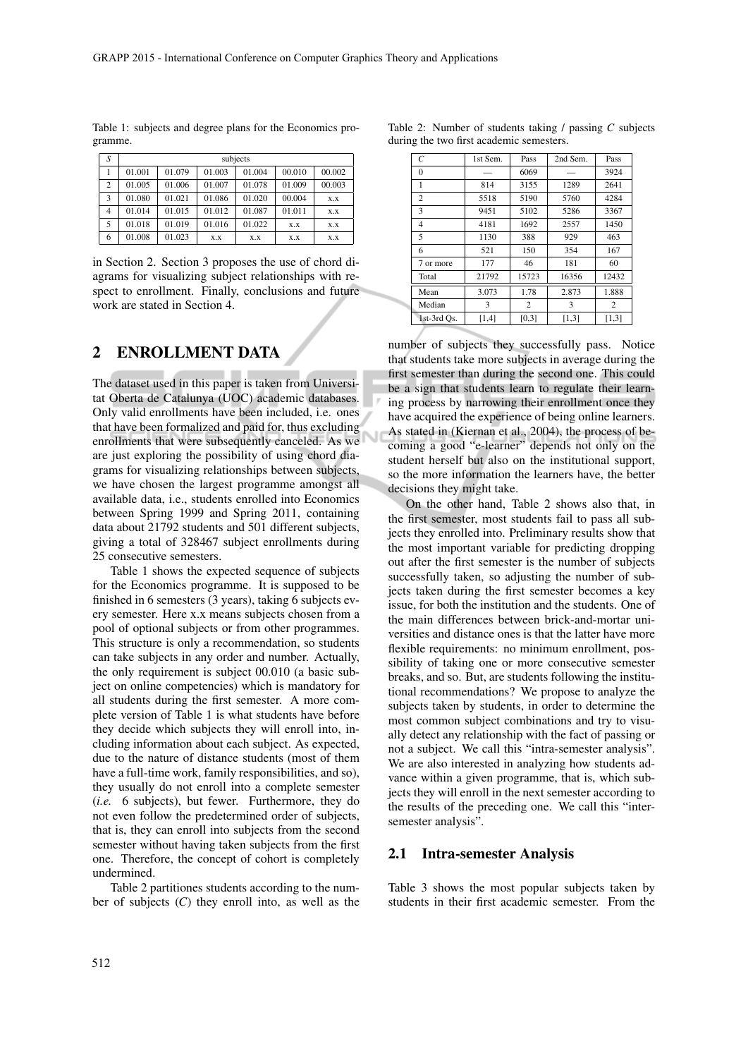| S |        |        |        | subjects |        |        |
|---|--------|--------|--------|----------|--------|--------|
|   | 01.001 | 01.079 | 01.003 | 01.004   | 00.010 | 00.002 |
| 2 | 01.005 | 01.006 | 01.007 | 01.078   | 01.009 | 00.003 |
| 3 | 01.080 | 01.021 | 01.086 | 01.020   | 00.004 | X.X    |
| 4 | 01.014 | 01.015 | 01.012 | 01.087   | 01.011 | X.X    |
| 5 | 01.018 | 01.019 | 01.016 | 01.022   | X.X    | X.X    |
| 6 | 01.008 | 01.023 | X.X    | X.X      | X.X    | X.X    |

Table 1: subjects and degree plans for the Economics programme.

in Section 2. Section 3 proposes the use of chord diagrams for visualizing subject relationships with respect to enrollment. Finally, conclusions and future work are stated in Section 4.

### 2 ENROLLMENT DATA

The dataset used in this paper is taken from Universitat Oberta de Catalunya (UOC) academic databases. Only valid enrollments have been included, i.e. ones that have been formalized and paid for, thus excluding enrollments that were subsequently canceled. As we are just exploring the possibility of using chord diagrams for visualizing relationships between subjects, we have chosen the largest programme amongst all available data, i.e., students enrolled into Economics between Spring 1999 and Spring 2011, containing data about 21792 students and 501 different subjects, giving a total of 328467 subject enrollments during 25 consecutive semesters.

Table 1 shows the expected sequence of subjects for the Economics programme. It is supposed to be finished in 6 semesters (3 years), taking 6 subjects every semester. Here x.x means subjects chosen from a pool of optional subjects or from other programmes. This structure is only a recommendation, so students can take subjects in any order and number. Actually, the only requirement is subject 00.010 (a basic subject on online competencies) which is mandatory for all students during the first semester. A more complete version of Table 1 is what students have before they decide which subjects they will enroll into, including information about each subject. As expected, due to the nature of distance students (most of them have a full-time work, family responsibilities, and so), they usually do not enroll into a complete semester (*i.e.* 6 subjects), but fewer. Furthermore, they do not even follow the predetermined order of subjects, that is, they can enroll into subjects from the second semester without having taken subjects from the first one. Therefore, the concept of cohort is completely undermined.

Table 2 partitiones students according to the number of subjects (*C*) they enroll into, as well as the

| $\mathcal{C}$  | 1st Sem. | Pass  | 2nd Sem. | Pass  |
|----------------|----------|-------|----------|-------|
| $\Omega$       |          | 6069  |          | 3924  |
| 1              | 814      | 3155  | 1289     | 2641  |
| $\overline{c}$ | 5518     | 5190  | 5760     | 4284  |
| 3              | 9451     | 5102  | 5286     | 3367  |
| 4              | 4181     | 1692  | 2557     | 1450  |
| 5              | 1130     | 388   | 929      | 463   |
| 6              | 521      | 150   | 354      | 167   |
| 7 or more      | 177      | 46    | 181      | 60    |
| Total          | 21792    | 15723 | 16356    | 12432 |
| Mean           | 3.073    | 1.78  | 2.873    | 1.888 |
| Median         | 3        | 2     | 3        | 2     |
| 1st-3rd Os.    | [1,4]    | [0,3] | [1,3]    | [1,3] |

number of subjects they successfully pass. Notice that students take more subjects in average during the first semester than during the second one. This could be a sign that students learn to regulate their learning process by narrowing their enrollment once they have acquired the experience of being online learners. As stated in (Kiernan et al., 2004), the process of becoming a good "e-learner" depends not only on the student herself but also on the institutional support, so the more information the learners have, the better decisions they might take.

On the other hand, Table 2 shows also that, in the first semester, most students fail to pass all subjects they enrolled into. Preliminary results show that the most important variable for predicting dropping out after the first semester is the number of subjects successfully taken, so adjusting the number of subjects taken during the first semester becomes a key issue, for both the institution and the students. One of the main differences between brick-and-mortar universities and distance ones is that the latter have more flexible requirements: no minimum enrollment, possibility of taking one or more consecutive semester breaks, and so. But, are students following the institutional recommendations? We propose to analyze the subjects taken by students, in order to determine the most common subject combinations and try to visually detect any relationship with the fact of passing or not a subject. We call this "intra-semester analysis". We are also interested in analyzing how students advance within a given programme, that is, which subjects they will enroll in the next semester according to the results of the preceding one. We call this "intersemester analysis".

#### 2.1 Intra-semester Analysis

Table 3 shows the most popular subjects taken by students in their first academic semester. From the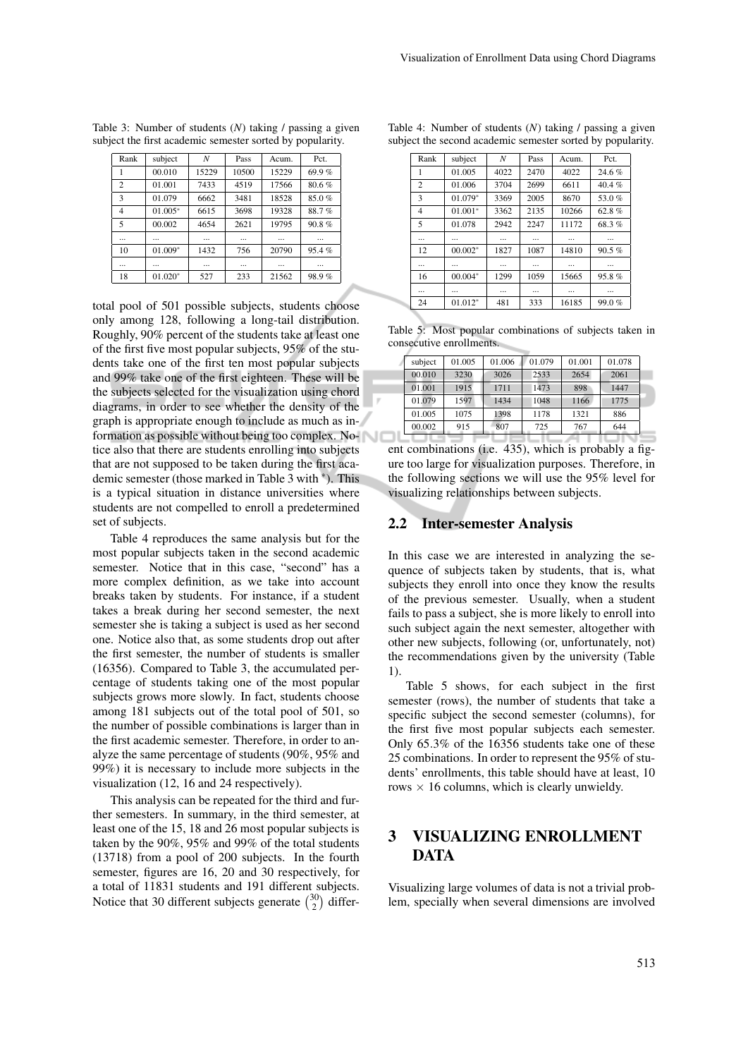| Rank           | subject   | N        | Pass     | Acum. | Pct.      |
|----------------|-----------|----------|----------|-------|-----------|
|                | 00.010    | 15229    | 10500    | 15229 | 69.9%     |
| $\overline{c}$ | 01.001    | 7433     | 4519     | 17566 | 80.6%     |
| 3              | 01.079    | 6662     | 3481     | 18528 | 85.0%     |
| $\overline{4}$ | $01.005*$ | 6615     | 3698     | 19328 | 88.7%     |
| 5              | 00.002    | 4654     | 2621     | 19795 | $90.8 \%$ |
|                |           | $\cdots$ | $\cdots$ |       | $\cdots$  |
| 10             | $01.009*$ | 1432     | 756      | 20790 | 95.4%     |
|                |           | $\cdots$ | $\cdots$ |       | $\cdots$  |
| 18             | $01.020*$ | 527      | 233      | 21562 | 98.9%     |

Table 3: Number of students (*N*) taking / passing a given subject the first academic semester sorted by popularity.

total pool of 501 possible subjects, students choose only among 128, following a long-tail distribution. Roughly, 90% percent of the students take at least one of the first five most popular subjects, 95% of the students take one of the first ten most popular subjects and 99% take one of the first eighteen. These will be the subjects selected for the visualization using chord diagrams, in order to see whether the density of the graph is appropriate enough to include as much as information as possible without being too complex. Notice also that there are students enrolling into subjects that are not supposed to be taken during the first academic semester (those marked in Table 3 with <sup>∗</sup> ). This is a typical situation in distance universities where students are not compelled to enroll a predetermined set of subjects.

Table 4 reproduces the same analysis but for the most popular subjects taken in the second academic semester. Notice that in this case, "second" has a more complex definition, as we take into account breaks taken by students. For instance, if a student takes a break during her second semester, the next semester she is taking a subject is used as her second one. Notice also that, as some students drop out after the first semester, the number of students is smaller (16356). Compared to Table 3, the accumulated percentage of students taking one of the most popular subjects grows more slowly. In fact, students choose among 181 subjects out of the total pool of 501, so the number of possible combinations is larger than in the first academic semester. Therefore, in order to analyze the same percentage of students (90%, 95% and 99%) it is necessary to include more subjects in the visualization (12, 16 and 24 respectively).

This analysis can be repeated for the third and further semesters. In summary, in the third semester, at least one of the 15, 18 and 26 most popular subjects is taken by the 90%, 95% and 99% of the total students (13718) from a pool of 200 subjects. In the fourth semester, figures are 16, 20 and 30 respectively, for a total of 11831 students and 191 different subjects. Notice that 30 different subjects generate  $\binom{30}{2}$  differ-

| Rank           | subject   | N    | Pass     | Acum. | Pct.     |
|----------------|-----------|------|----------|-------|----------|
| 1              | 01.005    | 4022 | 2470     | 4022  | 24.6%    |
| $\overline{c}$ | 01.006    | 3704 | 2699     | 6611  | $40.4\%$ |
| 3              | 01.079*   | 3369 | 2005     | 8670  | 53.0%    |
| 4              | $01.001*$ | 3362 | 2135     | 10266 | 62.8%    |
| 5              | 01.078    | 2942 | 2247     | 11172 | 68.3%    |
|                |           |      | $\cdots$ |       |          |
| 12             | $00.002*$ | 1827 | 1087     | 14810 | 90.5%    |
|                |           |      |          |       |          |
| 16             | $00.004*$ | 1299 | 1059     | 15665 | 95.8%    |
|                |           |      | $\cdots$ |       |          |
| 24             | $01.012*$ | 481  | 333      | 16185 | 99.0 $%$ |

Table 4: Number of students (*N*) taking / passing a given subject the second academic semester sorted by popularity.

|  |                          | Table 5: Most popular combinations of subjects taken in |  |  |
|--|--------------------------|---------------------------------------------------------|--|--|
|  | consecutive enrollments. |                                                         |  |  |

| subject | 01.005 | 01.006 | 01.079 | 01.001 | 01.078 |
|---------|--------|--------|--------|--------|--------|
| 00.010  | 3230   | 3026   | 2533   | 2654   | 2061   |
| 01.001  | 1915   | 1711   | 1473   | 898    | 1447   |
| 01.079  | 1597   | 1434   | 1048   | 1166   | 1775   |
| 01.005  | 1075   | 1398   | 1178   | 1321   | 886    |
| 00.002  | 915    | 807    | 725    | 767    | 644    |

ent combinations (i.e. 435), which is probably a figure too large for visualization purposes. Therefore, in the following sections we will use the 95% level for visualizing relationships between subjects.

#### 2.2 Inter-semester Analysis

In this case we are interested in analyzing the sequence of subjects taken by students, that is, what subjects they enroll into once they know the results of the previous semester. Usually, when a student fails to pass a subject, she is more likely to enroll into such subject again the next semester, altogether with other new subjects, following (or, unfortunately, not) the recommendations given by the university (Table 1).

Table 5 shows, for each subject in the first semester (rows), the number of students that take a specific subject the second semester (columns), for the first five most popular subjects each semester. Only 65.3% of the 16356 students take one of these 25 combinations. In order to represent the 95% of students' enrollments, this table should have at least, 10 rows  $\times$  16 columns, which is clearly unwieldy.

### 3 VISUALIZING ENROLLMENT **DATA**

Visualizing large volumes of data is not a trivial problem, specially when several dimensions are involved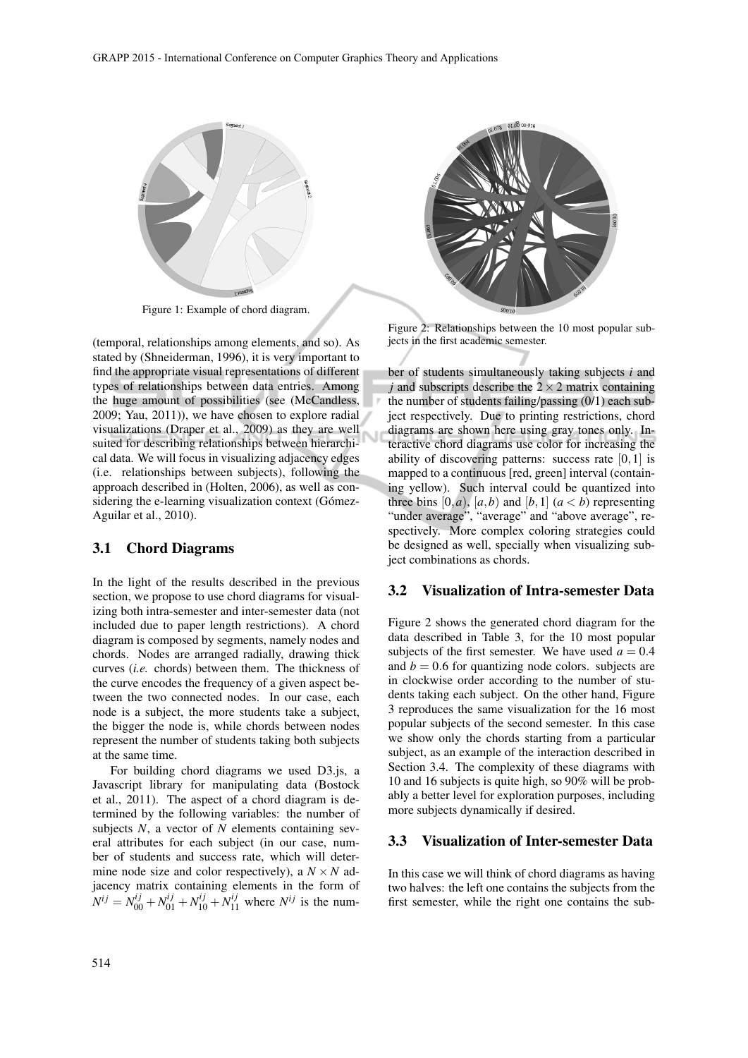

Figure 1: Example of chord diagram.

(temporal, relationships among elements, and so). As stated by (Shneiderman, 1996), it is very important to find the appropriate visual representations of different types of relationships between data entries. Among the huge amount of possibilities (see (McCandless, 2009; Yau, 2011)), we have chosen to explore radial visualizations (Draper et al., 2009) as they are well suited for describing relationships between hierarchical data. We will focus in visualizing adjacency edges (i.e. relationships between subjects), following the approach described in (Holten, 2006), as well as considering the e-learning visualization context (Gómez-Aguilar et al., 2010).

### 3.1 Chord Diagrams

In the light of the results described in the previous section, we propose to use chord diagrams for visualizing both intra-semester and inter-semester data (not included due to paper length restrictions). A chord diagram is composed by segments, namely nodes and chords. Nodes are arranged radially, drawing thick curves (*i.e.* chords) between them. The thickness of the curve encodes the frequency of a given aspect between the two connected nodes. In our case, each node is a subject, the more students take a subject, the bigger the node is, while chords between nodes represent the number of students taking both subjects at the same time.

For building chord diagrams we used D3.js, a Javascript library for manipulating data (Bostock et al., 2011). The aspect of a chord diagram is determined by the following variables: the number of subjects *N*, a vector of *N* elements containing several attributes for each subject (in our case, number of students and success rate, which will determine node size and color respectively), a  $N \times N$  adjacency matrix containing elements in the form of  $N^{ij} = N_{00}^{ij} + N_{01}^{ij} + N_{10}^{ij} + N_{11}^{ij}$  where  $N^{ij}$  is the num-



Figure 2: Relationships between the 10 most popular subjects in the first academic semester.

ber of students simultaneously taking subjects *i* and *j* and subscripts describe the  $2 \times 2$  matrix containing the number of students failing/passing (0/1) each subject respectively. Due to printing restrictions, chord diagrams are shown here using gray tones only. Interactive chord diagrams use color for increasing the ability of discovering patterns: success rate  $[0,1]$  is mapped to a continuous [red, green] interval (containing yellow). Such interval could be quantized into three bins  $[0, a)$ ,  $[a, b)$  and  $[b, 1]$   $(a < b)$  representing "under average", "average" and "above average", respectively. More complex coloring strategies could be designed as well, specially when visualizing subject combinations as chords.

### 3.2 Visualization of Intra-semester Data

Figure 2 shows the generated chord diagram for the data described in Table 3, for the 10 most popular subjects of the first semester. We have used  $a = 0.4$ and  $b = 0.6$  for quantizing node colors. subjects are in clockwise order according to the number of students taking each subject. On the other hand, Figure 3 reproduces the same visualization for the 16 most popular subjects of the second semester. In this case we show only the chords starting from a particular subject, as an example of the interaction described in Section 3.4. The complexity of these diagrams with 10 and 16 subjects is quite high, so 90% will be probably a better level for exploration purposes, including more subjects dynamically if desired.

#### 3.3 Visualization of Inter-semester Data

In this case we will think of chord diagrams as having two halves: the left one contains the subjects from the first semester, while the right one contains the sub-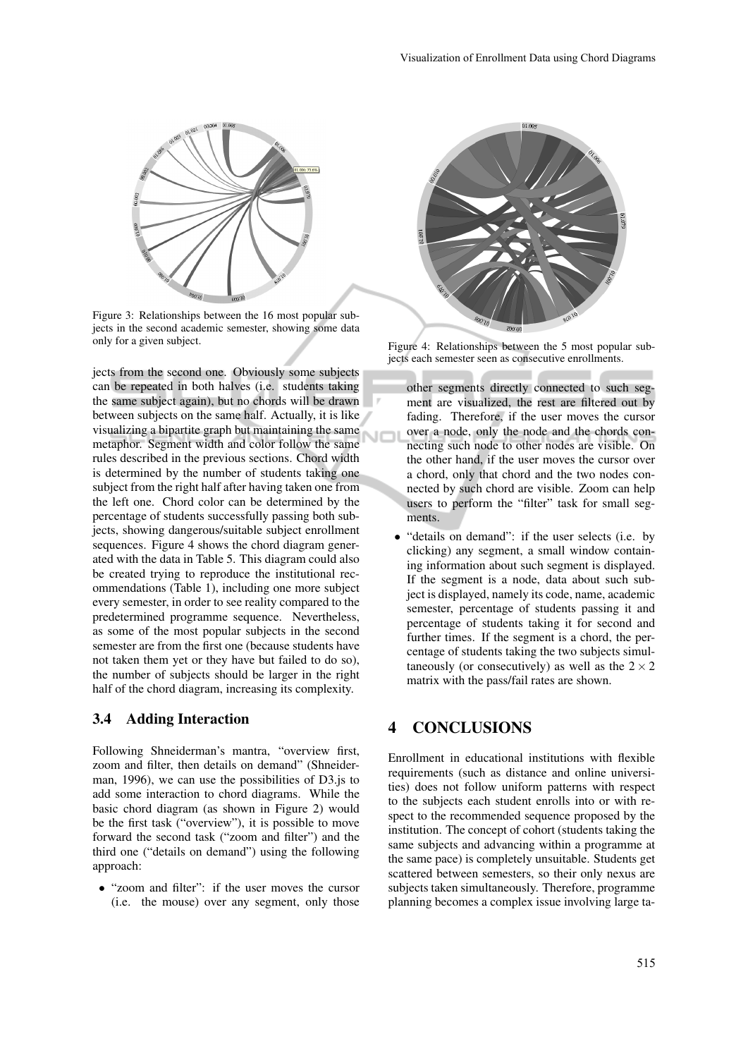

Figure 3: Relationships between the 16 most popular subjects in the second academic semester, showing some data only for a given subject.

jects from the second one. Obviously some subjects can be repeated in both halves (i.e. students taking the same subject again), but no chords will be drawn between subjects on the same half. Actually, it is like visualizing a bipartite graph but maintaining the same metaphor. Segment width and color follow the same rules described in the previous sections. Chord width is determined by the number of students taking one subject from the right half after having taken one from the left one. Chord color can be determined by the percentage of students successfully passing both subjects, showing dangerous/suitable subject enrollment sequences. Figure 4 shows the chord diagram generated with the data in Table 5. This diagram could also be created trying to reproduce the institutional recommendations (Table 1), including one more subject every semester, in order to see reality compared to the predetermined programme sequence. Nevertheless, as some of the most popular subjects in the second semester are from the first one (because students have not taken them yet or they have but failed to do so), the number of subjects should be larger in the right half of the chord diagram, increasing its complexity.

### 3.4 Adding Interaction

Following Shneiderman's mantra, "overview first, zoom and filter, then details on demand" (Shneiderman, 1996), we can use the possibilities of D3.js to add some interaction to chord diagrams. While the basic chord diagram (as shown in Figure 2) would be the first task ("overview"), it is possible to move forward the second task ("zoom and filter") and the third one ("details on demand") using the following approach:

• "zoom and filter": if the user moves the cursor (i.e. the mouse) over any segment, only those



Figure 4: Relationships between the 5 most popular subjects each semester seen as consecutive enrollments.

- other segments directly connected to such segment are visualized, the rest are filtered out by fading. Therefore, if the user moves the cursor over a node, only the node and the chords connecting such node to other nodes are visible. On the other hand, if the user moves the cursor over a chord, only that chord and the two nodes connected by such chord are visible. Zoom can help users to perform the "filter" task for small segments.
- "details on demand": if the user selects (i.e. by clicking) any segment, a small window containing information about such segment is displayed. If the segment is a node, data about such subject is displayed, namely its code, name, academic semester, percentage of students passing it and percentage of students taking it for second and further times. If the segment is a chord, the percentage of students taking the two subjects simultaneously (or consecutively) as well as the  $2 \times 2$ matrix with the pass/fail rates are shown.

## 4 CONCLUSIONS

Enrollment in educational institutions with flexible requirements (such as distance and online universities) does not follow uniform patterns with respect to the subjects each student enrolls into or with respect to the recommended sequence proposed by the institution. The concept of cohort (students taking the same subjects and advancing within a programme at the same pace) is completely unsuitable. Students get scattered between semesters, so their only nexus are subjects taken simultaneously. Therefore, programme planning becomes a complex issue involving large ta